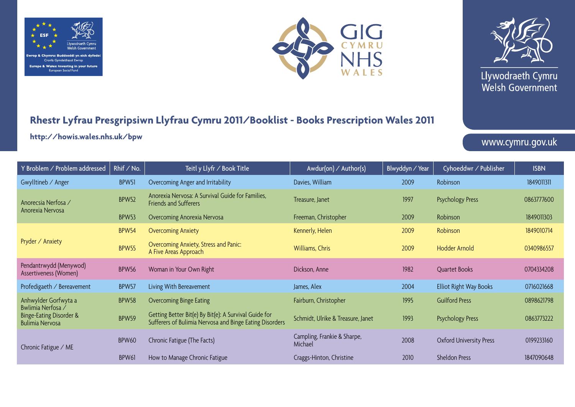





Llywodraeth Cymru Welsh Government

## **Rhestr Lyfrau Presgripsiwn Llyfrau Cymru 2011/Booklist - Books Prescription Wales 2011**

**http://howis.wales.nhs.uk/bpw**

www.cymru.gov.uk

| Y Broblem / Problem addressed                                                                  | Rhif / No.   | Teitl y Llyfr / Book Title                                                                                       | Awdur(on) / Author(s)                  | Blwyddyn / Year | Cyhoeddwr ∕ Publisher          | <b>ISBN</b> |
|------------------------------------------------------------------------------------------------|--------------|------------------------------------------------------------------------------------------------------------------|----------------------------------------|-----------------|--------------------------------|-------------|
| Gwylltineb / Anger                                                                             | BPW51        | Overcoming Anger and Irritability                                                                                | Davies, William                        | 2009            | Robinson                       | 1849011311  |
| Anorecsia Nerfosa /<br>Anorexia Nervosa                                                        | <b>BPW52</b> | Anorexia Nervosa: A Survival Guide for Families,<br><b>Friends and Sufferers</b>                                 | Treasure, Janet                        | 1997            | <b>Psychology Press</b>        | 0863777600  |
|                                                                                                | BPW53        | Overcoming Anorexia Nervosa                                                                                      | Freeman, Christopher                   | 2009            | Robinson                       | 1849011303  |
| Pryder / Anxiety                                                                               | <b>BPW54</b> | <b>Overcoming Anxiety</b>                                                                                        | Kennerly, Helen                        | 2009            | Robinson                       | 1849010714  |
|                                                                                                | <b>BPW55</b> | Overcoming Anxiety, Stress and Panic:<br>A Five Areas Approach                                                   | Williams, Chris                        | 2009            | Hodder Arnold                  | 0340986557  |
| Pendantrwydd (Menywod)<br>Assertiveness (Women)                                                | BPW56        | Woman in Your Own Right                                                                                          | Dickson, Anne                          | 1982            | <b>Quartet Books</b>           | 0704334208  |
| Profedigaeth / Bereavement                                                                     | BPW57        | Living With Bereavement                                                                                          | James, Alex                            | 2004            | Elliot Right Way Books         | 0716021668  |
| Anhwylder Gorfwyta a<br>Bwlimia Nerfosa /<br>Binge-Eating Disorder &<br><b>Bulimia Nervosa</b> | BPW58        | <b>Overcoming Binge Eating</b>                                                                                   | Fairburn, Christopher                  | 1995            | <b>Guilford Press</b>          | 0898621798  |
|                                                                                                | BPW59        | Getting Better Bit(e) By Bit(e): A Survival Guide for<br>Sufferers of Bulimia Nervosa and Binge Eating Disorders | Schmidt, Ulrike & Treasure, Janet      | 1993            | <b>Psychology Press</b>        | 0863773222  |
| Chronic Fatigue / ME                                                                           | <b>BPW60</b> | Chronic Fatigue (The Facts)                                                                                      | Campling, Frankie & Sharpe,<br>Michael | 2008            | <b>Oxford University Press</b> | 0199233160  |
|                                                                                                | BPW61        | How to Manage Chronic Fatigue                                                                                    | Craggs-Hinton, Christine               | 2010            | <b>Sheldon Press</b>           | 1847090648  |